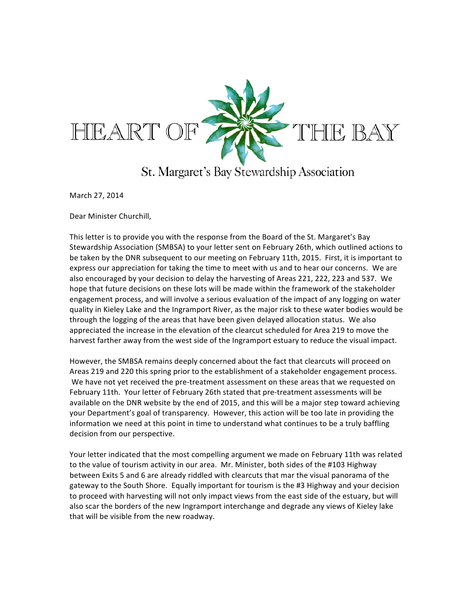

St. Margaret's Bay Stewardship Association

March 27, 2014

Dear Minister Churchill,

This letter is to provide you with the response from the Board of the St. Margaret's Bay Stewardship Association (SMBSA) to your letter sent on February 26th, which outlined actions to be taken by the DNR subsequent to our meeting on February 11th, 2015. First, it is important to express our appreciation for taking the time to meet with us and to hear our concerns. We are also encouraged by your decision to delay the harvesting of Areas 221, 222, 223 and 537. We hope that future decisions on these lots will be made within the framework of the stakeholder engagement process, and will involve a serious evaluation of the impact of any logging on water quality in Kieley Lake and the Ingramport River, as the major risk to these water bodies would be through the logging of the areas that have been given delayed allocation status. We also appreciated the increase in the elevation of the clearcut scheduled for Area 219 to move the harvest farther away from the west side of the Ingramport estuary to reduce the visual impact.

However, the SMBSA remains deeply concerned about the fact that clearcuts will proceed on Areas 219 and 220 this spring prior to the establishment of a stakeholder engagement process. We have not yet received the pre-treatment assessment on these areas that we requested on February 11th. Your letter of February 26th stated that pre-treatment assessments will be available on the DNR website by the end of 2015, and this will be a major step toward achieving your Department's goal of transparency. However, this action will be too late in providing the information we need at this point in time to understand what continues to be a truly baffling decision from our perspective.

Your letter indicated that the most compelling argument we made on February 11th was related to the value of tourism activity in our area. Mr. Minister, both sides of the #103 Highway between Exits 5 and 6 are already riddled with clearcuts that mar the visual panorama of the gateway to the South Shore. Equally important for tourism is the #3 Highway and your decision to proceed with harvesting will not only impact views from the east side of the estuary, but will also scar the borders of the new Ingramport interchange and degrade any views of Kieley lake that will be visible from the new roadway.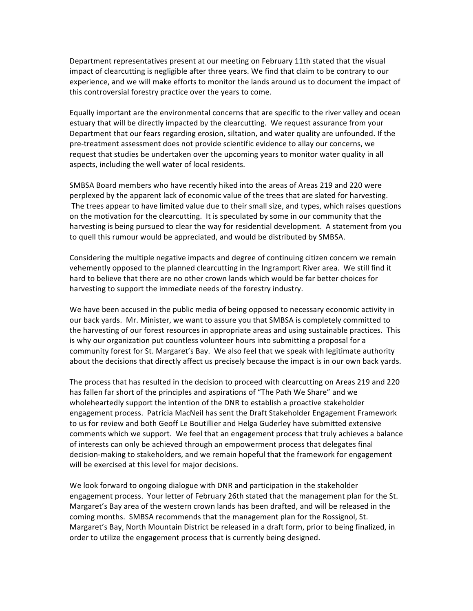Department representatives present at our meeting on February 11th stated that the visual impact of clearcutting is negligible after three years. We find that claim to be contrary to our experience, and we will make efforts to monitor the lands around us to document the impact of this controversial forestry practice over the years to come.

Equally important are the environmental concerns that are specific to the river valley and ocean estuary that will be directly impacted by the clearcutting. We request assurance from your Department that our fears regarding erosion, siltation, and water quality are unfounded. If the pre-treatment assessment does not provide scientific evidence to allay our concerns, we request that studies be undertaken over the upcoming years to monitor water quality in all aspects, including the well water of local residents.

SMBSA Board members who have recently hiked into the areas of Areas 219 and 220 were perplexed by the apparent lack of economic value of the trees that are slated for harvesting. The trees appear to have limited value due to their small size, and types, which raises questions on the motivation for the clearcutting. It is speculated by some in our community that the harvesting is being pursued to clear the way for residential development. A statement from you to quell this rumour would be appreciated, and would be distributed by SMBSA.

Considering the multiple negative impacts and degree of continuing citizen concern we remain vehemently opposed to the planned clearcutting in the Ingramport River area. We still find it hard to believe that there are no other crown lands which would be far better choices for harvesting to support the immediate needs of the forestry industry.

We have been accused in the public media of being opposed to necessary economic activity in our back yards. Mr. Minister, we want to assure you that SMBSA is completely committed to the harvesting of our forest resources in appropriate areas and using sustainable practices. This is why our organization put countless volunteer hours into submitting a proposal for a community forest for St. Margaret's Bay. We also feel that we speak with legitimate authority about the decisions that directly affect us precisely because the impact is in our own back yards.

The process that has resulted in the decision to proceed with clearcutting on Areas 219 and 220 has fallen far short of the principles and aspirations of "The Path We Share" and we wholeheartedly support the intention of the DNR to establish a proactive stakeholder engagement process. Patricia MacNeil has sent the Draft Stakeholder Engagement Framework to us for review and both Geoff Le Boutillier and Helga Guderley have submitted extensive comments which we support. We feel that an engagement process that truly achieves a balance of interests can only be achieved through an empowerment process that delegates final decision-making to stakeholders, and we remain hopeful that the framework for engagement will be exercised at this level for major decisions.

We look forward to ongoing dialogue with DNR and participation in the stakeholder engagement process. Your letter of February 26th stated that the management plan for the St. Margaret's Bay area of the western crown lands has been drafted, and will be released in the coming months. SMBSA recommends that the management plan for the Rossignol, St. Margaret's Bay, North Mountain District be released in a draft form, prior to being finalized, in order to utilize the engagement process that is currently being designed.